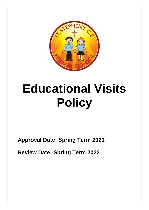

# **Educational Visits Policy**

1

**Approval Date: Spring Term 2021**

**Review Date: Spring Term 2022**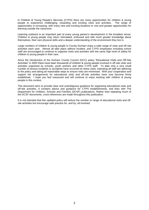In Children & Young People's Services (CYPS) there are many opportunities for children & young people to experience challenging, rewarding and exciting visits and activities. The range of opportunities is increasing, with many new and exciting locations to visit and greater opportunities for learning outside the classroom.

Learning outdoors is an important part of every young person's development in the broadest sense. Children & young people may return stimulated, enthused and with much greater knowledge about themselves, their own physical skills and a deeper understanding of the environment they live in.

Large numbers of children & young people in County Durham enjoy a wide range of visits and off-site activities each year. Almost all take place without incident, and CYPS employees including school staff are encouraged to continue to organise visits and activities with the same high level of safety for children & young people in their care.

Since the introduction of the Durham County Council (DCC) policy "Educational Visits and Off-Site Activities" in 2003 there have been thousands of children & young people involved in off-site visits and activities organised by schools, youth workers and other CYPS staff. To date only a very small number of serious incidents or accidents have occurred on these visits, indicating all staff are adhering to the policy and taking all reasonable steps to ensure risks are minimised. With your cooperation and support the arrangements for educational visits and off-site activities have now become firmly established. I hope you feel reassured and will continue to enjoy working with children & young people in this context.

This document aims to provide clear and unambiguous guidance for organising educational visits and off-site activities. It contains advice and guidance for CYPS establishments, and links with The Department for Children, Schools and Families (DCSF) publications. Rather than repeating much of the DCSF documents, cross-references are made throughout this publication.

It is not intended that this updated policy will reduce the number or range of educational visits and offsite activities but encourage safe practice for, and by, all involved.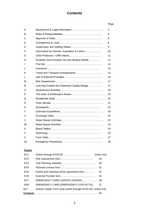# **Contents**

|    |                                                 | Page |
|----|-------------------------------------------------|------|
| A  |                                                 | 3    |
| В  |                                                 | 4    |
| С  |                                                 | 5    |
| D  |                                                 | 8    |
| E  |                                                 | 9    |
| F  | Information for Parents, Guardians & Carers     | 10   |
| G  |                                                 | 11   |
| н  | Disability Discrimination Act and Medical Needs | 11   |
| I  |                                                 | 12   |
| J  |                                                 | 13   |
| κ  |                                                 | 14   |
| L  |                                                 | 16   |
| м  |                                                 | 17   |
| N  | Learning Outside the Classroom Quality Badge    | 17   |
| O  |                                                 | 18   |
| P  |                                                 | 20   |
| Q  |                                                 | 20   |
| R  | <u> Visits Abroad…………………………………………………………</u>     | 21   |
| S  |                                                 | 22   |
| т  |                                                 | 23   |
| U  |                                                 | 23   |
| V  |                                                 | 23   |
| W  |                                                 | 24   |
| X  |                                                 | 24   |
| Y  |                                                 | 25   |
| Ζ  | Farm Visits……………………………………………………………              | 27   |
| A2 |                                                 | 28   |
|    |                                                 |      |

## **Forms**

| EV <sub>1</sub>  |                                                              | online only |
|------------------|--------------------------------------------------------------|-------------|
| EV2              |                                                              | 29          |
| EVA              |                                                              | 30          |
| EVA              |                                                              | 32          |
| EV <sub>5</sub>  | Parent and volunteer driver agreement form                   | 33          |
| EV <sub>6</sub>  |                                                              | 34          |
| EV7              | EMERGENCY CARD (GROUP LEADER)                                | 36          |
| EV <sub>8</sub>  | EMERGENCY CARD (EMERGENCY CONTACTS)                          | 37          |
| <b>ALF</b>       | Activity Leader Form (only online through EVOLVE)online only |             |
| <b>Contacts.</b> |                                                              | 38          |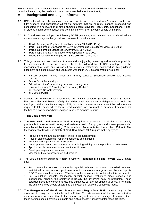This document can be photocopied for use in Durham County Council establishments. Any other reproduction can only be made with the express permission of the Authority.

## **A Background and Legal Information**

- A.1 DCC acknowledges the immense value of educational visits to children & young people, and fully supports and encourages all off-site activities that are correctly planned, managed and conducted. We believe that all establishments should strive for 'High Quality Educational Visits', in order to maximize the educational benefits to the children & young people taking part.
- A.2 DCC endorses and adopts the following DCSF guidance, which should be considered, where appropriate, alongside the guidelines contained in this document:
	- 'Health & Safety of Pupils on Educational Visits' 1998 (HASPEV)
	- 'Part 1 supplement: Standards for LEA's in Overseeing Educational Visits' July 2002
	- 'Part 2 supplement : Standards for Adventure' July 2002
	- 'Part 3 supplement : A handbook for group leaders' July 2002
	- 'Group Safety at water margins' (DCSF/CCPR) Ref 0270/2003
- A.3 This guidance has been produced to make visits enjoyable, rewarding and as safe as possible. It summarises the procedures which should be followed by all DCC employees in the management of visits and similar off-site activities. Information contained in this guidance document applies to all staff and volunteers working in DCC establishments including:
	- Nursery schools, Infant, Junior and Primary schools, Secondary schools and Special schools
	- **School Sport Partnerships**
	- Education in the Community groups and youth groups
	- Duke of Edinburgh's Award groups in County Durham
	- all Extended School Provision
	- all CYPS services
- A.4 Schools are reminded (in accordance with DFES statutory guidance 'Health & Safety: Responsibilities and Powers' 2001), that whilst certain tasks may be delegated to schools, the employer, retains the ultimate responsibility for visits no matter who carries out the tasks. We are required to take action where the required standards are not reached, or where it believes that the health & safety of anybody engaged in off-site activities is at risk.

#### **The Legal Framework**

- A.5 **The 1974 Health and Safety at Work Act** requires employers to do all that is reasonably practicable to ensure health, safety and welfare at work of employees and non-employees who are affected by their undertaking. This includes off-site activities. Under the 1974 Act, The Management of Health and Safety at Work Regulations 1999 require that employers:
	- Produce a health and safety policy linked to risk assessment
	- Have in place systems for reporting accidents and incidents
	- Produce and implement risk assessments
	- Develop measures to control those risks including training and the provision of information
	- Appoint people competent to carry out specific tasks
	- Develop emergency procedures
	- Monitor and review procedures and practice.
- A.6 The DFES statutory guidance '**Health & Safety: Responsibilities and Powers'** 2001, states that:
	- For community schools, community special schools, voluntary controlled schools, maintained nursery schools, pupil referral units, statutory youth groups etc the employer is DCC. These establishments MUST adhere to the requirements contained in this document.
	- For foundation schools, foundation special schools, voluntary aided schools and independent schools, the employer is usually the governing body or proprietor. These establishments are welcome to use this guidance, but are not obliged to do so. If not using the guidance, they should ensure that the systems in place are equally as robust.
- A.7 **The Management of Health and Safety at Work Regulations 1999** places a duty on the organiser to carry out a suitable and sufficient *Risk Assessment* of the various activities undertaken, and to ensure that if other persons (eg instructors) take charge of activities, then those persons should provide a suitable and sufficient *Risk Assessment* for those activities.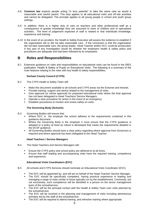- A.8 **Common law** expects people acting "in loco parentis" to take the same care as would a reasonable and careful parent. This duty applies to all educational visits and off-site activities and cannot be delegated. The principle applies to all young people in school and youth group settings.
- A.9 In addition, there is a higher duty of care on teachers and other professional staff as a consequence of greater knowledge they are assumed to have of children and of specialised activities. The level of judgement expected of staff is related to that individuals knowledge, experience and training.
- A.10 In the event of an accident, the Health & Safety Executive will assess the evidence to establish if the organisation did or did not take reasonable care. If the conclusion is that the organisation did not take reasonable care, the group leader, Head Teacher and/or DCC could be prosecuted. A key part of any investigation would be whether the employers health & safety policy and procedures are adequate and had been followed by its employees.

# **B Roles and Responsibilities**

B.1 Extensive guidance on roles and responsibilities on educational visits can be found in the DfES publication 'Health & Safety of Pupils on Educational Visits'. The following is a summary of the main features relating to the roles with key health & safety responsibilities.

## **Durham County Council (CYPS)**

- B.2 The CYPS Health & Safety Team will:
	- Make this document available to all schools and CYPS areas via the Extranet and Intranet,
	- **•** Provide training, support and advice related to the management of visits,
	- Give approval (or refuse approval) for proposed educational visits where the final approval has not been delegated to Head Teachers/ Service Managers.
	- Operate a clear procedure for action in the event of an emergency
	- **Establish procedures to monitor and review safety on visits.**

## **The Governing Body (Schools)**

- B.3 Governing Bodies will ensure that:
	- Where DCC is the employer the school adheres to the requirements contained in this guidance document.
	- Where the Governing Body is the employer it must ensure that the CYPS guidance is adopted or a policy at least as robust is developed that meets the requirements detailed in the DCSF guidance.
	- All Governing Bodies should have a clear policy regarding where approval from Governors is required and where approval has been delegated to the Head Teacher.

## **Head Teachers / Service Managers**

- B.4 The Head Teachers and Service Managers will:
	- Ensure the CYPS policy and school policy are adhered to at all times,
	- Ensure that staff leading and accompanying visits have the required training, competence and experience.

## **Educational Visits Coordinators (EVC)**

- B.5 All schools and CYPS Services should nominate an Educational Visits Coordinator (EVC).
	- The EVC will be appointed by, and will act on behalf of the Head Teacher/ Service Manager.
	- The EVC should be specifically competent, having practical experience in leading and managing a range of visits similar to those typically run by the establishment. Commonly, but not exclusively, such competence will be identified in a person on the senior management team of the school/service.
	- The EVC will be the principal contact with the Health & Safety Team over visits planned by the school/service.
	- The EVC will be involved in the planning and management of visits including adventurous activities led by the staff of the school/service.
	- The EVC will be required to attend training, and refresher training where appropriate.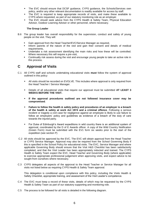- The EVC should ensure that DCSF guidance, CYPS guidance, the Schools/Services own policy, and/or any other relevant documentation is readily available for access by staff.
- The EVC is required to keep appropriate records of visits, and make these available to CYPS where requested, as part of our statutory monitoring role as an employer.
- **•** The EVC should seek advice from the CYPS Health & Safety Team, Physical Education Advisor, Outdoor Learning Adviser or other personnel, where necessary.

#### **The Group Leader**

- B.6 The group leader has overall responsibility for the supervision, conduct and safety of young people on the visit. They will:
	- Gain approval from the Head Teacher/EVC/Service Manager as required,
	- Inform parents of the nature of the visit and gain their consent and details of medical requirements,
	- Undertake a risk assessment identifying the main risks and how these will be controlled. Where necessary this will require a pre-visit,
	- Continually risk assess during the visit and encourage young people to take an active role in this process.

# **C Approval of Visits**

- C.1 All CYPS staff and schools undertaking educational visits **must** follow the system of approval outlined in this policy:
	- All visits should be recorded on EVOLVE. This includes where approval is only required from the Head Teacher / Service Manager.
	- Details of all educational visits that require our approval must be submitted **AT LEAST 3 WEEKS BEFORE THE VISIT.**
	- **If the approval procedures outlined are not followed insurance cover may be compromised**.
	- **Failure to follow the health & safety policy and procedures of an employer is a breach of the health & safety at work Act 1974 and a criminal offence**. Following a serious incident or tragedy a civil case for negligence against an employee is likely to use failure to follow an employers' policy and guidelines as evidence of a breach of the duty of care towards the injured party.
	- For Duke of Edinburgh's Award expeditions in wild country there is an additional system of approval, coordinated by the D of E Awards officer. A copy of the Wild Country Notification (Green Form) must be submitted with the EV1 form six weeks prior to the start of the expedition (see section P)
- C.2 All visits should be approved by the EVC. The EVC will obtain approval from the Head Teacher or CYPS Service Manager. Approval may also be required from the School Governing Body if this is specified in the School Policy for educational visits. The EVC, Service Manager and where applicable Governing Body should ensure that the Visit H&S Checklist has been satisfactorily completed, and that the Visit Leader has been appropriately inducted and trained. The CYPS Health & Safety Team expect the EVC, Head Teacher and Governing Body (where applicable) to exercise appropriate professional judgement when approving visits, and expect advice to be sought from ourselves where necessary.
- C.3 CYPS delegates all aspects of the approval to the Head Teacher or Service Manager for all visits not listed below as requiring CYPS Health & Safety Team approval.

This delegation is conditional upon compliance with this policy, including the Visits Health & Safety Checklist, appropriate training, and assessment of the Visit Leader's competence.

- C.4 The EVC must keep a record of these visits, details of which may be requested by the CYPS Health & Safety Team as part of our statutory supporting and monitoring role.
- C.5 The process to be followed for all visits is detailed in the following diagram.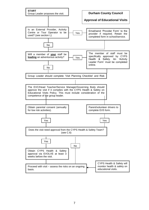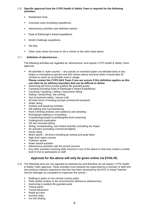## C.6 **Specific approval from the CYPS Health & Safety Team is required for the following activities:**

- **Residential Visits**
- Overseas visits (including expeditions)
- Adventurous activities (see definition below)
- Duke of Edinburgh's Award expeditions
- World Challenge expeditions
- Ski trips
- Other visits where the level of risk is similar to the visits listed above.

## C.7 **Definition of adventurous** –

The following activities are regarded as 'adventurous' and require CYPS Health & Safety Team approval:

- All activities in 'open country' any activity on moorland (open uncultivated land) at any height or mountainous ground over 600 metres above sea level when it would take 30 minutes to reach an accessible road or refuge. **Please contact the CYPS H&S Team if you are unsure if this definition applies as this can often be an arbitrary boundary that can be difficult to define.**
- Swimming (all forms except publicly life guarded pools)
- Camping (including Duke of Edinburgh's Award Expeditions)
- Canoeing / kayaking / rafting / improvised rafting
- Sailing / windsurfing / kite surfing
- Use of powered safety / rescue craft
- All other forms of boating (except commercial transport)
- Water skiing
- Snorkel and aqualung activities
- Hill walking and mountaineering
- Rock Climbing (indoors and outdoors) and abseiling
- River/gorge walking or scrambling
- Coasteering/coastal scrambling/sea level traversing
- Underground exploration
- Off site mountain biking
- Skiing, snowboarding, and related activities (including dry slope)
- Air activities (excluding commercial flights)
- Horse riding
- Motor sports  $-$  all forms including go-carting and quad bikes
- High level ropes courses
- 'Extreme' sports
- Water based activities
- Adventurous activities with the armed services
- Any other activities involving skills inherent in any of the above or that may contain a similar level of risk to participants or staff.

## **Approval for the above will only be given online via EVOLVE.**

- C.8 The following visits are not regarded as adventurous and therefore do not require CYPS Health & Safety Team approval. These activities must however be supervised by a member of staff who has previous relevant experience and who has been assessed by the EVC or Head Teacher/ Service Manager as competent to supervise the activity –
	- Walking in parks or non-remote country paths
	- Field studies (unless in the environments defined as adventurous)
	- Swimming in publicly life guarded pools
	- **·** Theme parks
	- **Tourist attractions**
	- Pedal go-carts
	- Archery clubs
	- Ice rink skating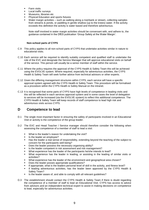- **Farm visits**
- Local traffic surveys
- Museums, libraries etc
- Physical Education and sports fixtures
- Water margin activities such as walking along a riverbank or stream, collecting samples from streams & ponds, or paddling in gentle shallow (up to the knees) water. If the activity exceeds this definition the activity is water based and therefore adventurous.

Note staff involved in water margin activities should be conversant with, and adhere to, the guidance contained in the DfES publication 'Group Safety at the Water Margin'.

## **Non-school parts of CYPS**

- C.9 This policy applies to all non-school parts of CYPS that undertake activities similar in nature to educational visits.
- C.10 Each service will be required to identify suitably competent and qualified staff to undertake the role of the EVC and designate the Service Manager that will approve educational visits on behalf of the service. This person will usually be a senior member of staff within the service.
- C.11 Where the policy requires the approval of the CYPS Health & Safety Team this will be achieved using the EVOLVE system. Where required, especially for adventurous activities, the CYPS Health & Safety Team will seek further advice from technical advisors or other experts.
- C.12 Given the differing management structures within CYPS, each service will have a specific approval system agreed with the CYPS Health & Safety Team. This procedure will be formalised as a procedure within the CYPS Health & Safety Manual on the intranet.
- C.13 It is recognised that some parts of CYPS have high levels of competence in leading visits and this will be reflected in each services approval system and in some cases the level of delegation to services will be increased (via the EVOLVE system) to reflect this additional competence. The CYPS Health & Safety Team will keep records of staff competence to lead high risk and adventurous visits across CYPS.

# **D Competence to lead**

- D.1 The single most important factor in ensuring the safety of participants involved in an Educational Visit or activity is the competence of the group leader.
- D.2 The EVC and Head Teacher / Service manager should therefore consider the following when assessing the competence of a member of staff to lead a visit:
	- What is the leader's reason for undertaking the visit?
	- Is the leader an employee?
	- Has the leader a real sense of responsibility, extending beyond the teaching of the subject to concern for the participants well-being?
	- Does the leader possess the necessary organising ability?
	- Is the leader competent in risk assessment and risk management?
	- What experience has the leader of the participants he/she intends to lead?
	- What experience has the leader in leading, or assisting in the leading of similar visits or activities?
	- What experience has the leader of the environment and geographical area chosen?
	- Does the leader posses appropriate qualifications?
	- If appropriate, what is the leaders personal level of skill in the activity, and fitness level?
	- **.** If leading adventurous activities, has the leader been approved by the CYPS Health & Safety Team?
	- Is the leader aware of, and able to comply with all relevant quidelines?
- D.3 The establishment should contact the CYPS Health & Safety Team if there is doubt regarding the competence of a member of staff to lead an Educational Visit. CYPS has access to advice from advisors and an independent technical expert to assist in making decisions on competence to lead, especially for adventurous activities.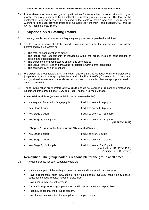#### **Adventurous Activities for Which There Are No Specific National Qualifications.**

D.4 In the absence of formal, recognised qualifications for some adventurous activities, it is good practice for group leaders to hold qualifications in closely-related activities. The level of the qualification required needs to be matched to the levels of hazard and risk. Group leaders wishing to lead such activities must seek full approval from their Head Teacher/EVC, and the CYPS Health & Safety Team.

# **E Supervision & Staffing Ratios**

- E.1 Young people on visits must be adequately supported and supervised at all times.
- E.2 The level of supervision should be based on risk assessment for the specific visits, and will be determined by such factors as:
	- The type, risk and duration of activity
	- The nature and requirements of individuals within the group, including consideration of special and additional needs
	- The experience and competence of staff and other adults
	- The venue, time of year and prevailing / predicted environmental conditions
	- The contingency or plan B options.
- E.3 We expect the group leader, EVC and Head Teacher / Service Manager to make a professional judgement regarding the appropriate level and suitability of staffing for every visit. A visit must not go ahead where any of the above persons are not satisfied that an appropriate level of supervision exists.
- E.4 The following ratios are therefore **only a guide** and do not overrule or replace the professional judgement of the group leader, EVC and Head Teacher / Service Manager.

**Lower Risk Activities** (where the risk is similar to everyday life)

| $\blacksquare$ | Nursery and Foundation Stage pupils - | 1 adult to every 4 - 6 pupils                     |
|----------------|---------------------------------------|---------------------------------------------------|
|                | Key Stage 1 pupils -                  | 1 adult to every 4 - 6 pupils                     |
|                | Key Stage 2 pupils -                  | 1 adult to every 10 - 15 pupils                   |
|                | Key Stage 3, 4 & 5 pupils -           | 1 adult to every 15 - 20 pupils<br>(HASPEV* 1999) |

## **Chapter 2 Higher risk / Adventurous / Residential Visits**

| ■ Key Stage 1 pupils $-$       | 1 adult to every 2 pupils                                                                   |
|--------------------------------|---------------------------------------------------------------------------------------------|
| $\bullet$ Key Stage 2 pupils - | 1 adult to every 6 - 10 pupils                                                              |
| Example 3,4 & 5 pupils -       | 1 adult to every 10 - 15 pupils<br>(adapted from HASPEV* 1999)<br>(*subject to DCSF review) |

## **Remember - The group leader is responsible for the group at all times**.

E.5 It is good practice for each supervisory adult to:

- Have a clear plan of the activity to be undertaken and its educational objectives.
- Have a reasonable prior knowledge of the young people involved, including any special educational needs, medical needs or disabilities.
- Have prior knowledge of the venue.
- Carry a list/register of all group members and know who they are responsible for.
- Regularly check that the group is present.
- Have the means to contact the group leader if help is required.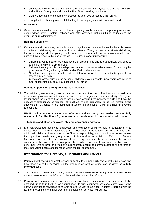- Continually monitor the appropriateness of the activity, the physical and mental condition and abilities of the group and the suitability of the prevailing conditions.
- Clearly understand the emergency procedures and have access to a first aid kit.
- Group leaders should provide a full briefing to accompanying adults prior to the visit.

## **Down Time**

E.6 Group Leaders should ensure that children and young people continue to be properly supervised during "down time" – before, between and after activities, including lunch periods and the evenings on residential visits.

#### **Remote Supervision**

- E.7 If the aim of visits for young people is to encourage independence and investigative skills, some of the time on visits may be supervised from a distance. The group leader must establish during the planning stage whether young people are competent in remote supervision and must ensure parents have agreed to this part of the visit. The group leader must ensure:
	- Children & young people are made aware of ground rules and are adequately equipped to be on their own or in a small group.
	- Children & young people have telephone numbers or other suitable means of contacting the group leader if lost, either by mobile or identified local telephones.
	- They have maps, plans and other suitable information for them to act effectively and know how to summon help.
	- **.** In enclosed areas, such as theme parks, children & young people know where and when to meet supervising adults, at key locations at set times.

#### **Remote Supervision during Adventurous Activities**

E.8 The training given to young people must be sound and thorough. The instructor should have appropriate qualifications and experience to provide clear guidance for each activity. The group leader should be satisfied that young people have acquired the necessary skills and have the necessary experience, confidence, physical ability and judgement to be left without direct supervision. Guidance in this document must be followed for all Duke of Edinburgh's Award Expeditions.

#### **NB For all educational visits and off-site activities the group leader remains fully responsible for all children & young people, even when not in direct contact with them.**

#### **Teachers and other employees' children accompanying visits**

E.9 It is acknowledged that some employees and volunteers could not help in educational visits unless their own children accompany them. However, group leaders and helpers who bring additional children will have potential conflicts of responsibility, which could have consequences for supervision levels and group safety. It is therefore essential that EVC's and Service Managers consider the implications of such requests and those arrangements do not compromise the safety of other group members. Where agreements are made to allow staff to bring their own children on a visit, this arrangement should be communicated to the parents of the other young people and identified within the risk assessment.

# **Information for Parents, Guardians and Carers**

- F.1 Parents and those with parental responsibility should be made fully aware of the likely risks and how these are to be managed, so that informed consent or refusal can be given on a **fully informed** basis.
- F.2 The parental consent form (EV4) should be completed either listing the activities to be undertaken or refer to the information letter which contains this information.
- F.3 Consent for low risk / local activities such as sport fixtures, museums, churches etc could be obtained, using form EV4, on an annual basis. In such circumstances exact dates may not be known but must be forwarded to parents before the visit takes place. A letter to parents with the EV4 form outlining the annual programme (include all activities) will suffice.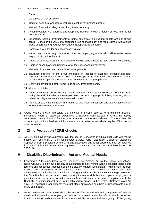- F.4 Information to parents should include:
	- 1. Dates.
	- 2. Objectives of visit or activity.
	- 3. Times of departure and return, including location for meeting parents.
	- 4. Method of travel including name of any travel company.
	- 5. Accommodation with address and telephone number, including details of host families for exchange visits.
	- 6. Emergency contact arrangements at home and away, if all young people are not at one centre. Consider the value of a 'telephone tree' to make easy and rapid contact with a large group of parents, e.g. regarding changed transport arrangements.
	- 7. Names of group leader and accompanying staff.
	- 8. Names and status (e.g. parent) of other accompanying adults who will exercise some responsibility during the visit.
	- 9. Details of activities planned. Any activity involving special hazards must be clearly specified.
	- 10. Charges or voluntary contributions; what they cover and do not cover.
	- 11. Methods of payment and cancellation arrangements.
	- 12. Insurance effected for the group members in respect of baggage, personal accident, cancellation and medical cover. Send a photocopy of the insurance schedule to all parents or state that a copy of schedule may be obtained from the group leader.
	- 13. Clothing/footwear and other items to be taken. Prohibited items.
	- 14. Money to be taken.
	- 15. Code of conduct; details relating to the standard of behaviour expected from the group during the visit; including for example, rules on general group discipline, smoking, sexual behaviour, illegal substances and alcoholic drinks.
	- 16. Parents should have sufficient information to give informed consent and give written consent for emergency medical treatment.
- F.5 Group leaders should appreciate the benefits of inviting parents to a planning meeting, particularly where a residential experience is involved, visits abroad or where the activity constitutes a 'new direction' for the group members or the establishment. There is then the opportunity for all involved to be fully informed and to raise issues which may be difficult to put down in writing.

# **G Child Protection / CRB checks**

G.1 All DCC employees and volunteers over the age of 16 involved in educational visits with young people will require DCC, Criminal Records Bureau (CRB) clearance. Copies of Disclosure Application Forms provided by the CRB and associated advice for applicants may be obtained from the CYPS CRB Vetting / Barring Team, County Hall, Durham DH1 5UJ Telephone 0191 383 3146.

# **H Disability Discrimination Act and Medical Needs**

- H.1 Following a 2002 amendment to the Disability Discrimination Act by the Special educational Need Act 2001, it is unlawful for any establishment to discriminate against disabled participants (current and respective) because of their disability, without justification – which must be both material and substantial to the particular case. You are required to make reasonable adjustments to avoid disabled participants being placed at a substantial disadvantage. However, the Disability Discrimination Act does not require responsible bodies to place employees or participants at risk in order to make reasonable adjustments. In all cases compliance with the Disability Discrimination Act must not be achieved by breaching the Health & Safety at Work Act 1974 i.e. reasonable adjustments must not place employees or others at unacceptable risk of injury or ill-health.
- H.2 Group leaders and other adults should be aware of all the children and young peoples' medical needs and any medical emergency procedures. If required, a member of staff should be trained in administrating medication and to take responsibility in a medical emergency. If the young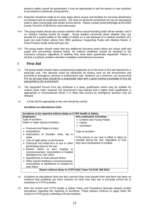person's safety cannot be guaranteed, it may be appropriate to ask the parent or care assistant to accompany a particular young person.

- H.3 Enquiries should be made at an early stage about access and facilities for securing wheelchairs on transport and at residential centres. We have an all-terrain wheelchair for use on educational visits in open countryside and similar environments. Please contact David Etheridge at the EWE Centre Tel 0191 3739799 for more information.
- H.4 The group leader should also assess whether client manual handling skills will be needed, and if so, whether training should be sought. Group leaders concerned about whether they can provide for a pupil's safety or the safety of others on a visit because of a medical condition of a pupil can seek further advice from DfES guidance: Supporting Pupils with Medical Needs: A Good Practice Guide (www.dcfs.gov.uk).
- H.5 The group leader should check that any additional insurance policy taken out covers staff and pupils with pre-existing medical needs. All medical conditions should be declared to the insurance company regardless of whether they have been specifically requested. Failure to declare a medical condition will often invalidate medical/travel insurance.

# **I First Aid**

- I.1 The group leader should make a professional judgement as to the level of first aid required for a particular visit. This decision could be influenced by factors such as the environment and proximity to emergency services or professional care. However, as a minimum, we recommend that *for all visits there should be a responsible adult with a good working knowledge of first aid appropriate to the environment.*
- I.2 The Appointed Person First Aid certificate is a basic qualification which may be suitable for routine urban visits, however risk assessment may indicate that a higher level qualification is appropriate in circumstances where it is likely that access by emergency services may be delayed.
- I.3 A First Aid Kit appropriate to the visit should be carried.

## **Accidents on educational visits**

| Accidents to be reported without delay to CYPS Health & Safety.                                                                                                                                                                                                       |                                                                                                                                                                               |  |  |
|-----------------------------------------------------------------------------------------------------------------------------------------------------------------------------------------------------------------------------------------------------------------------|-------------------------------------------------------------------------------------------------------------------------------------------------------------------------------|--|--|
| <b>Employees</b>                                                                                                                                                                                                                                                      | Non-employees including -                                                                                                                                                     |  |  |
| Type of accident $-$                                                                                                                                                                                                                                                  | • Children and Young People                                                                                                                                                   |  |  |
| Death or major injuries including -                                                                                                                                                                                                                                   | Clients                                                                                                                                                                       |  |  |
| Fractures (not fingers & toes)<br>Amputations<br>Dislocations of shoulder, knee, hip or<br>spine<br>• Loss of sight (temp or permanent)<br>Chemical/ hot metal burn to eye or other<br>penetrating injury to the eye                                                  | • Volunteers<br>Type of accident $-$<br>If the person in our care is killed or taken to<br>hospital during the visit, regardless of how<br>they were transported to hospital. |  |  |
| · Electric shock or burn leading<br>to<br>unconsciousness, resuscitation or hospital<br>admittance for over 24hrs<br>• Hypothermia or heat induced illness<br>Other injuries leading to unconsciousness,<br>resuscitation or admittance to hospital for<br>over 24hrs |                                                                                                                                                                               |  |  |
| Report without delay to CYPS H&S Team Tel 0191 383 6513                                                                                                                                                                                                               |                                                                                                                                                                               |  |  |

- I.4 Accidents on educational visits are less common than most people think and there has been no evidence that accidents are more common on visits than they are in everyday school life or elsewhere in CYPS activities.
- I.5 Both the School and CYPS Health & Safety Policy and Procedures Manuals already contain procedures regarding the reporting of accidents. These policies continue to apply when the school or CYPS group undertakes off-site activities.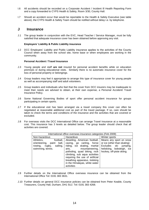- I.6 All accidents should be recorded on a Corporate Accident / Incident Ill Health Reporting Form and a copy forwarded to CYPS Health & Safety, Room 3/30, County Hall.
- I.7 Should an accident occur that would be reportable to the Health & Safety Executive (see table above), the CYPS Health & Safety Team should be notified without delay i.e. by telephone.

## **J Insurance**

J.1 The group leader in conjunction with the EVC, Head Teacher / Service Manager, must be fully satisfied that adequate insurance cover has been obtained before approving any visit.

#### **Employers' Liability & Public Liability insurance**

J.2 DCC Employers' Liability and Public Liability insurance applies to the activities of the County Council when away from the school site, home base or when employees are working in the community.

#### **Personal Accident / Travel Insurance**

- J.3 Young people and staff **are not** insured for personal accident benefits while on education premises or during educational visits. Similarly there is no automatic insurance cover for the loss of personal property or belongings.
- J.4 Group leaders may feel it appropriate to arrange this type of insurance cover for young people as well as accompanying staff and adult volunteers.
- J.5 Group leaders and individuals who feel that the cover from DCC insurers may be inadequate to meet their needs are advised to obtain, at their own expense, a Personal Accident/ Travel Insurance Policy.
- J.6 Some National Governing Bodies of sport offer personal accident insurance for groups participating in certain sports.
- J.7 If the educational visit has been arranged via a travel company this cover can often be negotiated at reasonable additional cost as part of the travel package. If so, care should be taken to check the terms and conditions of the insurance and the activities that are covered or excluded.
- J.8 For overseas visits the DCC International Office can arrange Travel Insurance at a reasonable cost. This insurance has 3 levels as detailed below. The group leader should check that all activities are covered.

|                                                                                                            | International office overseas insurance categories (Feb 2009)                                                                                                                                                                                                                                              |                                                                                                                                               |  |  |
|------------------------------------------------------------------------------------------------------------|------------------------------------------------------------------------------------------------------------------------------------------------------------------------------------------------------------------------------------------------------------------------------------------------------------|-----------------------------------------------------------------------------------------------------------------------------------------------|--|--|
| Non-hazardous                                                                                              | Hazardous                                                                                                                                                                                                                                                                                                  | Winter sports                                                                                                                                 |  |  |
| Athletics,<br>football,<br>orienteering, paint<br>ball,<br>sailing,<br>rowing, rugby,<br>swimming, tennis. | Abseiling, American football,<br>caving, go carting, horse<br>riding, ice skating, martial<br>mountaineering,<br>arts.<br>potholing, quad biking, rock<br>climbing, sub aqua activities<br>requiring the use of artificial<br>breathing apparatus, trekking<br>in the Himalayas, white water<br>activities | Means any sport on snow<br>or ice (other than skating)<br>Excludes ski<br>jumping,<br>heliskiing, bobsleigh, ice<br>hockey, off-piste skiing. |  |  |

- J.9 Further details on the International Office overseas insurance can be obtained from the International Office Tel: 0191 383 3631.
- J.10 Further details on general DCC insurance policies can be obtained from Peter Keable, County Treasurers, County Hall, Durham, DH1 5UJ. Tel: 0191 383 4268.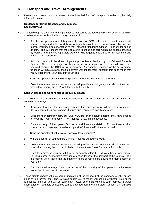# **K Transport and Travel Arrangements**

K.1 Parents and carers must be aware of the intended form of transport in order to give fully informed consent.

#### **Guidance for Hiring Coaches and Minibuses Local Journeys**

- K.2 The following are a number of simple checks that can be carried out which will assist in deciding whether an operator is suitable to carry out your trip.
	- 1. Ask the transport operator if they currently work for DCC on home to school transport. All operators engaged in this work have to regularly provide details of operator's licence and current insurance documentation to the Transport Monitoring Officer. If not ask for copies of both. This will ensure that the operator is licensed and falls within the checks provided by Vehicle and Service Operators Agency, who regulate standards of maintenance and drivers hours compliance.
	- 2. Ask the operator if the driver of your trip has been checked by our Criminal Records Bureau. All drivers engaged on home to school transport for DCC should have been checked through the DCC in house system. An operator engaged on home to school transport will have suitably checked drivers working for them, although this does mean that you will get one for your trip. If in doubt ask!
	- 3. Does the operator check the driving licence of their drivers at least annually?
	- 4. Does the operator have a procedure that will provide a contingency plan should the coach break down during the trip? Ask for details if in doubt.

## **Long Distance and Continental Journeys by Coach**

- K.3 The following are a number of simple checks that can be carried out on long distance and continental journeys.
	- 1. If booking through a tour company, ask who the coach operator will be. Tour companies do not operate their own coaches but use sub- contracted coach operators.
	- 2. Does the tour company carry out 'Quality Audits' on the coach operator they have booked for your trip? Ask for a copy. If not, then ask a few simple questions.
	- 3. Obtain a copy of the operator's licence and insurance details. For continental trips, operators must have an international operators' licence – Do they have one?
	- 4. Does the operator check drivers' licence at least annually?
	- 5. Will the driver(s) of your tour be Criminal Records Bureau checked?
	- 6. Does the operator have a procedure that will provide a contingency plan should the coach break down during the trip, particularly on the continent? Ask for details if in doubt.
	- 7. On a long distance journey, will the driver comply within EEC drivers' hours regulations? For long journeys, operators may use a feeder driver for the first part of the journey. Will the main driver(s) have had the statutory hours of rest before driving the main section of your trip?
	- 8. On continental journeys, if you are unsure of the capability of the operator ask for some examples of previous trips operated.
- K.4 These simple checks will give you an indication of the standard of the company which you are going to use for your trip. They will also enable you to satisfy yourself as to whether your driver is qualified, insured and will be sufficiently rested before carrying out your journey. Further information on reputable companies can be obtained from the Integrated Transport Unit on 0191 372 5373.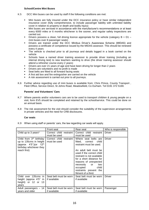#### **School/Centre Mini Buses**

- K.5 DCC Mini buses can be used by staff if the following conditions are met:
	- Mini buses are fully insured under the DCC insurance policy or have similar independent insurance cover (fully comprehensive, to include passenger liability with unlimited liability cover in relation to property or death and bodily injury)
	- Mini buses are serviced in accordance with the manufacturer's recommendations or at least every 6000 miles or 6 months whichever is the sooner, and regular safety inspections are carried out.
	- Drivers possess a clean, full driving licence appropriate for the vehicle (category  $B + D1 D$ mini buses over 8 passenger seats)
	- Drivers are trained under the DCC Minibus Driver's Awareness Scheme (MIDAS) and possess a certificate of competence issued by the MIDAS assessor. This should be renewed every 4 years
	- The vehicle is checked prior to all journeys and details logged in a book carried on the vehicle
	- Schools have a named driver training assessor to provide driver training (including an internal driving test) to new teachers wanting to drive (the driver training assessor should attend a refresher course every 2 years)
	- Drivers are over 21 years of age and have been driving for longer than 2 years
	- Drivers are volunteers and no profit is made
	- Seat belts are fitted to all forward facing seats
	- A first aid box and fire extinguisher are carried on the vehicle
	- A risk assessment is carried out prior to all journeys.
- K.6 Further advice regarding use of mini buses is available from: Chris Prince, County Transport, Fleet Office, Service Direct, St Johns Road, Meadowfield, Co Durham. Tel 0191 372 5169.

#### **Parents' and Volunteers' Cars**

- K.7 Where parents and/or volunteers cars are to be used to transport children & young people on a visit, form EV5 should be completed and retained by the school/service. This could be done on an annual basis.
- K.8 The risk assessment for the visit should consider the suitability of the supervision arrangements in private vehicles and the need for CRB disclosures.

#### **Car seats**

K.9 When using staff or parents' cars, the law regarding car seats will apply.

|                                                                                                                                 | <b>Front seat</b>                       | Rear seat                                                                                                                                                                                                                                                                                                               | Who is responsible |
|---------------------------------------------------------------------------------------------------------------------------------|-----------------------------------------|-------------------------------------------------------------------------------------------------------------------------------------------------------------------------------------------------------------------------------------------------------------------------------------------------------------------------|--------------------|
| Child up to 3 years*                                                                                                            | Correct child restraint<br>must be used | Correct child restraint<br>must be used                                                                                                                                                                                                                                                                                 | <b>Driver</b>      |
| Child from 3rd birthday<br>up to 135cms in height<br>(approx $4'5''$ ) (or $12^{th}$<br>birthday whichever they<br>reach first) | Correct child restraint<br>must be used | Where seat belts are<br>fitted.<br>child<br>correct<br>restraint must be used.<br>An adult belt must be<br>used if the correct child<br>restraint is not available<br>for a short distance for<br>reasons of unexpected<br>necessity<br>or<br>two<br>occupied<br>child<br>restraints prevent the<br>fitment of a third. | <b>Driver</b>      |
| Child over 135cms in<br>height (approx 4'5" in<br>height) or 12 or 13<br>years                                                  | Seat belt must be worn<br>if available  | Seat belt must be worn<br>if available                                                                                                                                                                                                                                                                                  | <b>Driver</b>      |
| Adult passengers - 14<br>years and older                                                                                        | Seat belt must be worn<br>if available  | Seat belt must be worn<br>if available                                                                                                                                                                                                                                                                                  | Passenger          |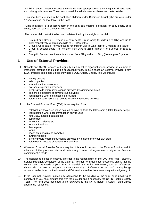\* children under 3 years must use the child restraint appropriate for their weight in all cars, vans and other goods vehicles. They cannot travel if a vehicle does not have seat belts installed.

If no seat belts are fitted in the front, then children under 135cms in height (who are also under 12 years of age) cannot travel in the front.

"Child restraints" is a collective term in the seat belt wearing legislation for baby seats, child seats, booster seats and booster cushions.

The type of child restraint to be used is determined by the weight of the child.

- Group 0 and Group 0+. These are baby seats rear facing for child up to 10kg and up to 13kg respectively. (approx age birth to  $9 - 12$  months
- Group I. Child seats forward facing for children 9kg to 18kg (approx 9 months to 4 years)
- Group II. Booster seats for children from 15kg to 25kg (approx 4 to 6 years), or 15kg to 36kg
- Group III. Booster cushions for children from 22kg and up to 36kg (from approx 6 years)

# **L Use of External Providers**

- L.1 Schools and CYPS Services will regularly employ other organisations to provide an element of instruction, staffing and guiding on educational visits. In such cases an External Provider Form (EV6) must be completed unless they hold a LOtC Quality Badge. This will include -
	- activity centres
	- ski companies
	- educational tour operators
	- overseas expedition providers
	- climbing walls where instruction is provided by climbing wall staff
	- **•** freelance instructors of adventurous activities
	- youth hostels where instruction is provided
	- voluntary organisations e.g. scouts where instruction is provided.
- L.2 An External Provider Form (EV6) is **not** required for
	- establishments/venues which hold a Learning Outside the Classroom (LOtC) Quality Badge
	- youth hostels where accommodation only is used
	- hotel, B&B accommodation etc
	- camp sites
	- museums, galleries etc
	- tourist attractions
	- theme parks
	- farms
	- coach train or airplane complies
	- swimming pools
	- climbing walls where instruction is provided by a member of your own staff
	- volunteer instructors of adventurous activities.
- L.3 Where an External Provider Form is required this should be sent to the External Provider well in advance of the proposed visit and before any contractual agreement is signed or financial commitment is made.
- L.4 The decision to select an external provider is the responsibility of the EVC and Head Teacher / Service Manager. Completion of the External Provider Form does not necessarily signify that the venue meets the needs of your group. A pre-visit and further information, such as references, should also be used to judge a providers suitability. Reference to the LOtC quality badge scheme can be found on the Intranet and Extranet, as well as from www.lotcqualitybadge.org.uk
- L.5 If the External Provider makes any alterations to the wording of the form or is unwilling to comply, then you must discuss this with the provider and if necessary the CYPS Health & Safety Team. The form does not need to be forwarded to the CYPS Health & Safety Team unless specifically requested.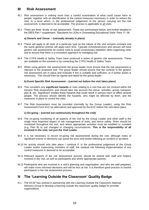## **M Risk Assessment**

- M.1 Risk assessment is nothing more than a careful examination of what could cause harm to people, together with an identification of the control measures necessary in order to reduce the risks to a level which, in the professional judgement of the person carrying out the risk assessment, is deemed to be acceptable. The process is applicable to all visits.
- M.2 There are three 'levels' of risk assessment. These are summarised below, and further detailed in the DfES Part 1 supplement: 'Standards for LEAs in Overseeing Educational Visits' Para 17–36.

#### **a) Generic and Venue – (normally already in place)**

- M.3 These will apply to all visits of a particular type as the nature of the visit remains constant and the same general controls will apply each time. Typically schools/services and venues will have generic risk assessments for routine visits to avoid unnecessary repetition when organising visits and to ensure that there is a consistent approach to managing risk.
- M.4 The CYPS Health & Safety Team have produced a series of generic risk assessments. These are available on the extranet or by contacting the CYPS Health & Safety Team.
- M.5 When using generic risk assessments the group leader must ensure that the risk assessment is relevant to the proposed visit. The group leader should ensure that the controls in the generic risk assessment are in place and evaluate if this is suitable and sufficient, or if further action is necessary. This should then be signed and dated by the group leader.

#### **b) Event Specific Risk Assessment – (carried out before the visit takes place)**

- M.6 This considers any **significant hazards** or risks relating to a visit that are not covered within the Generic Risk Assessment, and should take into account the venue, activities, group, transport, plan B, etc. 'Significant' implies those hazards that could result in serious harm or affect several people. The process should identify the hazards, who might be affected by them, and the measures in place to control the risks.
- M.7 The Risk Assessment must be recorded (normally by the Group Leader), using the Risk Assessment Form EV2 (or alternative) and approved by the EVC before the visit takes place.

#### **c) On-going – (carried out continuously throughout the visit)**

- M.8 The on-going monitoring of all aspects of the visit by the Group Leader and other staff is the single most important aspect of risk management of visits, and hence safety. Risks should be monitored throughout the visit, and where appropriate activities must be modified or curtailed (e.g. Plan B) to suit changed or changing circumstances. **This is the responsibility of all involved in the visit, not just the Visit Leader**.
- M.9 It is not necessary to record on-going risk assessments during the visit, although notes of significant events or decisions can assist the post-visit review following an incident or accident.
- M.10 An activity should only take place / continue if, in the professional judgement of the Group Leader and/or supervising members of staff, the residual risk following implementation of any control measures is deemed to be acceptable.
- M.11 Relevant aspects of the risk assessment process should be shared with staff and helpers involved in the visit, as well as participants and where appropriate parents.
- M.12 Participants who are involved in a visit's planning and organisation, and who are well prepared, will make more informed decisions and will be less at risk. It is therefore good practice to involve participants in the risk assessment process.

# **N The 'Learning Outside the Classroom' Quality Badge**

N.1 The DCSF has worked in partnership with the Learning Outside the Classroom National Advisory Group to develop a learning outside the classroom quality badge for provider organisations.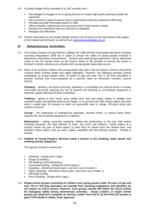- N.2 A Quality Badge will be awarded to a LOtC provider who
	- **■** Has pledged to engage in an on-going process to sustain high quality learning outside the classroom.
	- **EXECT** Has a process in place to assist users in planning the learning experience effectively.
	- Provides accurate information about it's offer.
	- **•** Offers activities, experiences and resources which meet learners needs.
	- Reviews the experience with you and acts on feedback.<br>■ Manages risk effectively
	- Manages risk effectively.
- N.3 Further information on the Quality Badge scheme can be found on the educational visits pages of the Intranet and Extranet, as well as from [www.lotcqualitybadge.org.uk](http://www.lotcqualitybadge.org.uk/)

## **O Adventurous Activities**

- O.1 The Activity Centres (Young Person's Safety) Act 1995 and the Associated Adventure Activities Licensing Regulations 2004 are in place to ensure the safety of young people involved in adventure in hazardous environments. Schools and youth groups planning to visit an adventure centre in the UK should check on the licence status of the provider to ensure the centre is licensed to deliver adventurous activities with young people (www.aals.org.uk).
- O.2 Many of the activities children and young people take part in do not require a licence and will be covered within existing health and safety legislation. However, the following activities (where undertaken by young people under 18 years of age and over 18's in full time education in Durham Schools and unaccompanied by a parent), need an Adventure Activities Licence (AALS):

**Climbing** – climbing, sea-level traversing, abseiling or scrambling over natural terrain or certain man-made structures requiring the use of special rock-climbing or ice-climbing equipment or expertise, gorge walking and ghyll scrambling.

**Trekking** – going on foot, horse, pony, pedal cycle, skis (not piste), skates or sledges over moorland (open uncultivated land) at any height, or on ground over 600 metres above sea level when it would take 30 minutes to reach an accessible road or refuge. Off-piste skiing also requires a licence.

**Caving** – the exploration of underground passages, disused mines, or natural caves which requires the use of special equipment or expertise.

**Watersports** – sailing, canoeing, kayaking, rafting and windsurfing, on the sea, tidal waters including estuaries, the tidal reaches of rivers, sea lochs and harbours, inland waters at a location where any part of those waters is more than 50 metres from the nearest land, and turbulent inland waters such as weirs, rapids, waterfalls and fast flowing currents. Rowing is exempt.

#### O.3 **Children & Young People's Services holds a licence in the climbing, water sports and trekking activity categories.**

The specific activities covered are -

- Abseiling *- (Single pitch crags)*
- **Gorge Scrambling**
- **Hill Walking & Mountaineering**
- Improvised Rafting *- (Sheltered inland waters )*
- Kayaking *- (Sheltered inland water, and rivers up to Grade 2.)*
- Open Canoeing *- (Sheltered inland water, and rivers up to Grade 2.)*
- Off-Road Cycling
- Rock Climbing *- (Single pitch crags )*
- O.4 **Single-school groups consisting of children and young people under 18 years of age and over 18's in full time education are exempt from licensing regulations and therefore do not require an AALS licence. However, such groups should still follow the AALS criteria for managing safety during adventurous activities. Group Leaders of single school groups are required to complete an Activity Leader Form (ALF) via the EVOLVE system to gain CYPS Health & Safety Team approval.**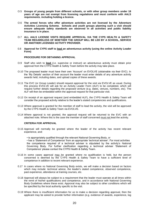- O.5 **Groups of young people from different schools, or with other group members under 18 years of age are not exempt from licensing regulations and must conform with AALS requirements**, **including holding a licence.**
- O.6 **The armed forces who offer adventure activities are not licensed by the Adventure Activities Licensing Scheme. Schools and youth groups planning such a visit should ensure adequate safety standards are observed in all activities and public liability insurance is in place.**
- O.7 **ALL AALS LICENSE VISITS REQUIRE APPROVAL VIA THE CYPS HEALTH & SAFETY TEAM REGARDLESS OF WHETHER THE GROUP WILL BE LED BY A SCHOOL, SERVICE OR ANOTHER LICENSED ACTIVITY PROVIDER.**
- 0.8 **Approval for CYPS staff to lead an adventurous activity (using the online Activity Leader Form)**

#### **PROCEDURE FOR OBTAINING APPROVAL**

- O.9 Staff who wish to **lead** (i.e. supervise or instruct) an adventurous activity must obtain prior approval from the CYPS Health & Safety Team before the activity may take place.
- O.10 The proposed leader must have their own 'Account' on EVOLVE (obtainable via their EVC). In the 'My Details' section of their account the leader must enter details of any adventure activity awards held, including dates, and upload copies of these awards.
- O.11 The EVC (or Group Leader) should request approval for the visit via EVOLVE as usual. During this process EVOLVE will ask for an Activity Leader Form (ALF) to be completed, which will request further details regarding the proposed venture (e.g. dates, venues, numbers, etc). The ALF will then be embedded within the approval request for that particular visit.
- O.12 On receipt of an approval request (and embedded ALF), the CYPS Health & Safety Team will consider the proposed activity relative to the leader's stated competencies and qualifications.
- O.13 Where approval is granted for the member of staff to lead the activity, the visit will be approved by the CYPS Health & Safety Team via EVOLVE.
- O.14 Where approval is not granted, the approval request will be returned to the EVC with an attached note. Where this is the case the member of staff concerned must not lead the activity.

#### **CRITERIA FOR APPROVAL**

- O.15 Approval will normally be granted where the leader of the activity has recent relevant experience, and:
	- is appropriately qualified through the relevant National Governing Body, *or*

• has a 'Statement of Competence' from an appropriate 'technical adviser'. For most activities the competence required of a technical adviser is stipulated by the activity's National Governing Body. For further clarification regarding a technical adviser 'Statement of Competence' please contact the CYPS Health & Safety Team.

- O.16 In some cases approval may be granted where no qualification is held, but the person concerned is deemed by the CYPS Health & Safety Team to have a sufficient level of competence in addition to recent relevant experience.
- 0.17 In cases where no National Governing Body exists, we will make a decision based on factors which may include: technical advice, the leader's stated competence, observed competence, past experience, attendance at training courses, etc.
- O.18 Approval will always be subject to a requirement that the leader must operate at all times within the remit of his/her qualifications and competence, and in accordance with National Governing Body Guidelines where these exist. Approval may also be subject to other conditions which will be specified by the local authority specific to the visit.
- O.19 Where there is insufficient information for us to make a decision regarding approval, then the applicant may be asked to provide further information (e.g. evidence of awards, experience, log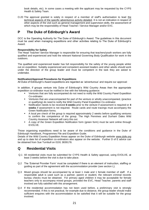book details, etc). In some cases a meeting with the applicant may be requested by the CYPS Health & Safety Team.

O.20 The approval granted is solely in respect of a member of staff's authorisation to lead the technical aspects of the specific adventurous activity detailed. It is not an indication in respect of other aspects of the visit such as general management and supervision skills, the assessment of which may be the responsibility of Head Teacher / Service Manager and/or EVC.

# **P The Duke of Edinburgh's Award**

DCC is the Operating Authority for The Duke of Edinburgh's Award. The guidelines in this document must be used when managing expeditions and other activities relating to The Duke of Edinburgh's Award.

## **Responsibility for Safety**

The Head Teacher/ Service Manager is responsible for ensuring that teachers/youth workers are fully qualified and experienced and hold the relevant National Governing Body Qualification for work in the outdoors.

The qualified and experienced leader has full responsibility for the safety of the young people whilst out on expedition. Suitably experienced and competent assistant leaders and other adults should work under the direction of the group leader and must be competent in the task they are asked to undertake.

## **Notification/Approval Procedures for Expeditions**

All Duke of Edinburgh's Award expeditions are regarded as 'adventurous' and require our approval:

In addition, if groups venture into Duke of Edinburgh's Wild Country Areas then the appropriate expedition co-ordinator must be notified in line with the following guidance:

- Ventures that are fully accompanied do not need to notify the Wild Country Panel Expedition Co-ordinator.
- Ventures that are unaccompanied for part of the venture or wholly unaccompanied, (practice or qualifying) do need to notify the Wild Country Panel Expedition Co-ordinator.
- Notification needs to be received **6 weeks** prior to the venture if assessment is required or **4 weeks** if assessment is not required. Route cards and route tracings must accompany the Green Notification forms.
- A local pre check of the group is required approximately 2 weeks before qualifying ventures to confirm the competence of the group. The High Pennines and Durham Dales Wild Country Assessor Network will carry this out.
- A copy of the Green Expedition Notification form (green form) must be sent online through EVOLVE.

Those organising expeditions need to be aware of the conditions and guidance in the Duke of Edinburgh Handbook, Programmes File and Expedition Guide.

Details of the Wild Country Expedition Areas appear on the Duke of Edinburgh website [www.dofe.org](http://www.dofe.org/) and up to date list of expedition co-ordinators also appear on the website. Further D of E advice can be obtained from Sue Turnbull on 0191 3839178.

# **Q Residential Visits**

- Q.1 All residential visits must be submitted for CYPS Health & Safety approval, using EVOLVE, at least 3 weeks before the visit is due to take place.
- Q.2 The 'External Provider Form' must be completed if there is an element of instruction, staffing or guiding as part of the agreement with the accommodation provider (see section L).
- Q.3 Mixed groups should be accompanied by at least 1 male and 1 female member of staff. If a responsible adult is used such as a partner, parent or student, the relevant criminal records bureau checks must be obtained. For primary aged children it may be acceptable for female teachers only to accompany mixed groups, provided the EVC, Head Teacher, parents and staff involved are fully satisfied with this arrangement.
- Q.4 If the residential accommodation has not been used before, a preliminary visit is strongly recommended. If this is not practical, for example due to distance, the group leader should make sufficient enquires with the accommodation to be satisfied that it will be suitable for the group involved.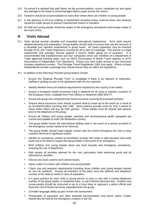- Q.5 On arrival it is advised that staff check out the accommodation, rooms, campsites etc and report any damage to the head of centre/manager before pupils access the rooms.
- Q.6 Teachers should be accommodated on every floor where there are children or young people.
- Q.7 In the absence of 24 hour staffing of hotel/hostel reception areas, external doors and windows should be made secure to prevent unauthorised visitors or intruders.
- Q.8 All staff and young people should be aware of the emergency procedures and escape routes in the event of fire.

## **R Visits Abroad**

- R.1 Visits abroad provide valuable and rewarding educational experiences. Such visits require detailed planning and preparation. Group leaders should seek to ensure they use the services of a reputable tour operator experienced in group travel. Air travel organisers may be licensed through ATOL (Air Travel Organisers License) for all or part of a package. This licence is a legal requirement and provides security against a licence holder going out of business. It is recommended that establishments use tour companies which are members of a Department of Trade approved bonding body; such as ABTA (Association of British Travel Agents) or AITO (Association of Independent Tour Operators). Ensure you have ready access to your insurance company telephone number. The Package Travel Regulations 1992 may apply. Where schools independently provide a package they should ensure they act within the regulations.
- R.2 In addition to the Planning Checklist group leaders should:
	- **Ensure the 'External Provider Form' is completed if there is an element of instruction,** staffing or guiding as part of the agreement with the tour operator.
	- Identify whether there are medical requirements imposed by the country to be visited.
	- Ensure a European Health Insurance Card is obtained for all visits to member countries of the European Union, available from Post Offices or freephone 0800 555777.
	- Ensure the group has comprehensive travel insurance covering all proposed activities.
	- Enquire about insurance cover should a parent need to travel out to the resort as a result of an accident/incident involving their child. Some policies provide cover for only 1 parent to travel whilst others will pay for both parents. These details must be shared with parents prior to the departure of the group.
	- Ensure all children and young people, teachers and accompanying adults' passports are current and suitable to enter the destination country.
	- The group leader knows the international dialling code in the event of a serious accident or the emergency contact needs to be informed.
	- The group leader should make regular contact with the school throughout the visit to keep contacts informed of significant events.
	- Identify an emergency contact at home/back at base who holds a valid passport and could travel out to the area to support the group leader in the event of an emergency.
	- Brief children and young people about any local hazards and emergency procedures, including the use of telephones.
	- Risk assess all activities planned for the visit, particularly hotel swimming pools and all adventurous activities.
	- Discuss any local customs and cultural issues.
	- Agree codes of conduct with children and young people.
	- Check visa and passport requirements including those children and young people classed as non-UK residents. Ensure all members of the party carry the address and telephone number of the hotel or hostel in case of separation.
	- It is good practice for each child or young person to carry a card with a contact telephone number of the group leader or residential base, to call if he/she becomes lost. Children and young people should be instructed to go to a local shop or approach a police official and show the card if he/she becomes separated from the group.
	- Consider language ability as part of their risk assessment.
	- Photocopies of passports and other essential documentation may prove useful. Copies should also be held by the emergency contacts in the UK.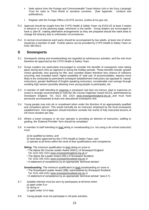- Seek advice from the Foreign and Commonwealth Travel Advice Unit or the Suzy Lamplugh Trust for visits to Third World or sensitive countries. (See Appendix - contacts and publications).
- Register with the Foreign Office LOCATE service. (online at fco.gov.uk)
- R.3 Approval should be sought from the CYPS Health & Safety Team via EVOLVE at least 3 weeks in advance or at the planning stage, whichever is the earlier. Group leaders are encouraged to have a 'plan B', making alternative arrangements so they are prepared should the need arise to change the itinerary due to unforeseen circumstances.
- R.4 In normal circumstances each party should be accompanied by two adults, at least one of whom should be a member of staff. Further advice can be provided by CYPS Health & Safety Team on 0191 383 6513.

# **S Snowsports**

- S.1 Snowsports (skiing and snowboarding) are regarded as adventurous activities, and the visit must therefore be approved by the CYPS Health & Safety Team.
- S.2 Group Leaders are particularly encouraged to consider the benefits of snowsports visits taking place during term time as opposed to during the holiday periods. These benefits include: greater choice generally, less queuing for lifts, less crowded slopes therefore less chance of collisions occurring, less crowded resort, higher possibility of 'sole use' of accommodation, lessons more likely to be conducted by permanent snowsport establishment instructors (as opposed to 'casual' instructors), greater likelihood of English speaking instructors, considerable cost savings through avoiding high season (possibly allowing more young people to participate), etc.
- S.3 A member of staff intending to organise a snowsport visit (but not instruct, lead or supervise on snow) is strongly recommended to hold the Ski Course Organiser Award (SCO), administered by Snowsport England. Tel. 0121 501 2314 www.snowsportengland.org.uk and must have previously accompanied at least one educational snowsports visit.
- S.4 Young people may only ski or snowboard when under the direction of an appropriately qualified and competent person. This would normally be an instructor employed by the local snowsports establishment. Visit organisers should therefore consider the merits of fully instructed lessons of 4/5 hours duration per day.
- S.5 Where a travel company or ski tour operator is providing an element of instruction, staffing or guiding, the 'External Provider' form should be completed.
- S.6 A member of staff intending to lead skiing or snowboarding (i.e. not using a ski school instructor) must:
	- a) be qualified as below, *and*
	- b) have been approved by the CYPS Health & Safety Team, *and*
	- c) operate at all times within the remit of their qualifications and competence.

**Skiing:** The minimum qualification to lead skiing on snow is:

- The Alpine Ski Course Leader Award (ASCL) of Snowsport England Tel. 0121 501 2314 www.snowsportengland.org.uk *or*
- The Alpine Ski Leader Award (ASL) of Snowsport Scotland Tel. 0131 445 4151 www.snowsportscotland.org.uk *or*
- A statement of competence by an appropriate 'technical adviser'.

**Snowboarding**: The minimum qualification to lead snowboarding on snow is:

- The Snowboard Leader Award (SBL) administered by Snowsport Scotland Tel. 0131 445 4151 www.snowsportscotland.org.uk *or*
- A statement of competence by an appropriate 'technical adviser' (see Z.7).
- S.7 Suitable helmets must be worn by participants at all times when:
	- a) aged under 8 *or*
	- b) racing *or*
	- c) aged under 14 in Italy.
- S.8 Young people must not participate in off-piste activities.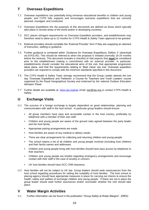# **T Overseas Expeditions**

- T.1 Overseas expeditions can potentially bring immense educational benefits to children and young people, and CYPS fully supports and encourages overseas expeditions that are correctly planned, managed, and conducted.
- T.2 Overseas Expeditions (for the purposes of this document) are defined as those which typically take place in remote areas of the world and/or in developing countries.
- T.3 DCC places stringent requirements on Overseas Expedition providers, and establishments may therefore need to allow up to 12 months for CYPS Health & Safety Team approval to be granted.
- T.4 External providers should complete the 'External Provider' form if they are supplying an element of instruction, staffing or guidance.
- T.5 Further guidance is contained within 'Guidance for Overseas Expeditions, Edition 3' (download via EVOLVE). This should be referred to when the proposal is initiated (normally 18-24 months before the venture). This document includes a checklist of vital aspects that **must** be considered prior to the establishment making a commitment with an external provider. In particular, establishments should consider the educational aims of the visit, that appropriate progression takes place, and that the requirements relating to 'Best Value' are met. Overseas expedition providers are required to comply with the minimum standards specified in this document.
- T.6 The CYPS Health & Safety Team strongly recommend that the Group Leader attends the one day 'Overseas Expeditions and Fieldwork: a Course for Teachers and Youth Leaders' course organised by the Royal Geographical Society and endorsed by the national Outdoor Education Advisers' Panel.
- T.7 Further details are available at: [www.rgs.org/eac](http://www.rgs.org/eac) email: eac@rgs.org or contact CYPS Health & Safety.

# **U Exchange Visits**

- U.1 The success of a foreign exchange is largely dependent on good relationships, planning and communication with staff in the host school. In particular group leaders should ensure:
	- All group members have easy and accessible contact in the host country, preferably by telephone with a member of their own staff.
	- Children and young people are aware of the ground rules agreed between the party leader and the host family.
	- Appropriate pairing arrangements are made.
	- Host families are aware of any medical or dietary needs.
	- There are clear arrangements for collecting and returning children and young people.
	- The school retains a list of all children and young people involved (including host children) and their family names and addresses.
	- Children and young people living with host families should have easy access by telephone to their teachers.
	- Children and young people are briefed regarding emergency arrangements and encourage contact with their staff in the case of anxiety or concern.
	- UK host families should have DCC CRB clearance.
- U.2 Host families will not be subject to UK law. Group leaders should seek reassurances from the host school regarding procedures for vetting the suitability of host families. The host school or placing agency should have appropriate measures in place for carrying out checks to ensure the health, safety and welfare of exchange children and young people. If these are not in place the group leader should seek further assurances and/or reconsider whether the visit should take place.

# **V Water Margin Activities**

V.1 Further information can be found in the publication "Group Safety at Water Margins". (DfES)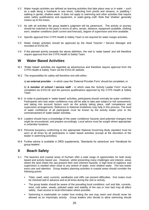- V.2 Water margin activities are defined as learning activities that take place near or in water such as a walk along a riverbank or sea shore, collecting from ponds and streams, or paddling / walking in gentle, shallow water. It does not apply to swimming and other activities that require water safety qualifications and equipment, or water-going craft. Note that 'shallow' generally means up to the knees.
- V.3 As with all activities the group leader's judgment will be paramount. The activity or journey should be matched to the party in terms of aims, terrain, distance, equipment available, clothing worn, weather conditions (both current and forecast), degree of supervision and time available.
- V.4 Specific approval from CYPS Health & Safety Team is not required for water margin activities.
- V.5 Water margin activities should be approved by the Head Teacher / Service Manager and recorded on EVOLVE.
- V.6 If the planned activity exceeds the above definition, the visit is 'water based' and will therefore require approval from the CYPS Health & Safety Team.

## **W Water Based Activities**

- W.1 'Water based' activities are regarded as adventurous and therefore require approval from the CYPS Health & Safety Team via the EVOLVE website.
- W.2 The responsibility for safety will therefore rest with either:

a) **an external provider** – in which case the 'External Provider Form' should be completed, or

b) **A member of school / service staff** – in which case the 'Activity Leader Form' must be completed via EVOLVE and the persons qualifications approved by the CYPS Health & Safety Team.

- W.3 In order to participate in 'water based' activities, participants should normally be water confident. Participants who lack water confidence may still be able to take part subject to risk assessment, and taking into account factors such as the activity taking place, staff competence and supervision arrangements. Reference to National Guidelines may help in this process. The level of water confidence of all participants must be known by the activity leader prior to the commencement of 'water based' activities.
- W.4 Leaders should have a knowledge of the water conditions/ hazards (and potential changes) that might be encountered, and prepare accordingly. Local advice must be sought where appropriate in unfamiliar locations.
- W.5 Personal buoyancy conforming to the appropriate National Governing Body standard must be worn at all times by all participants in water based activities (except at the discretion of the leader in swimming activities).
- W.6 Further advice is available in DfES supplements, 'Standards for adventure' and 'Handbook for group leaders'.

# **X Beach Safety**

- X.1 The beaches and coastal areas of Durham offer a wide range of opportunities for both study based and activity based use. However, whilst presenting many challenges and interest, areas where the land meets the sea present their own inherent hazards. A high level of vigilance and supervision is needed when close to any stretch of water, even shallow water. The sea needs extra care and attention. Group leaders planning activities in coastal areas should consider the following points:
	- Tides, swell, wind, currents, sandbanks and cliffs can present difficulties. Exit routes must be checked well in advance and at all times during the visit or activity.
	- The group leader should be aware of the prevailing local conditions: surf and tide, currents, wind, cold water, weeds, polluted water and stability of the sea or river bed may all affect safety. Gain access to local information where possible.
	- Swimming is inadvisable no matter how inviting the sea may seem and should never be allowed as an impromptu activity. Group leaders who decide to allow swimming should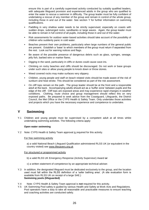ensure this is part of a carefully supervised activity conducted by suitably qualified leaders, with adequate lifeguard provision and experienced adults in the group who are qualified to enter the water to rescue a swimmer in difficulty. The group leader must be fully confident of undertaking a rescue of any member of the group and remain in control of the whole group, including those in and out of the water. See section Y for further information on swimming qualifications.

- Paddling in very shallow water needs to be strictly supervised, especially on coasts with sudden drops, submerged rocks, sandbanks or large waves. Again, the group leader must be able to remain in full control of all pupils, including those in and out of the water.
- Risk assessments for outdoor water-based activities should take account of the possibility of children who suddenly panic in cold water.
- Beaches present their own problems, particularly when large numbers of the general public are present. Establish a 'base' to which members of the group must return if separated from the rest. Look out for warning notices and flags.
- Be aware of the possible presence of dangerous debris such as glass, syringes, sewage, jelly fish, barbed wire or marker flares.
- Digging in the sand, particularly in cliffs or dunes could cause cave-ins.
- Climbing on rocky beaches and cliffs should be discouraged. Do not work or base groups under such sites or allow young people to knock down or throw stones.
- Weed covered rocks may make surfaces very slippery.
- Children, young people and staff on beach related visits should be made aware of the risk of sunburn and heat stroke. This should be considered as part of the risk assessment.
- On cliff tops remain on the path. The group leader should be at the front and a responsible adult at the back. Accompanying adults should act as a 'buffer zone' between pupils and the edge of the cliff. Cliff tops are exposed areas and may experience rapid changes in weather conditions. Clothing, route choice and group management should reflect this on very exposed paths. Be prepared to seek advice from the Coastguard, Lifeguards, the District Council, the Met Office or the CYPS Health & Safety Team. Only undertake those activities and projects which you have the necessary experience and competence to undertake.

# **Y Swimming**

Y.1 Children and young people must be supervised by a competent adult at all times whilst undertaking swimming activities. The following criteria apply:

## **Open water swimming**

Y.2 Note: CYPS Health & Safety Team approval is required for this activity.

#### For free swimming activity

a) a valid National Beach Lifeguard Qualification administered RLSS UK (or equivalent in the country visited) see www.lifesavers.org.uk

#### For structured or programmed activity

- b) a valid RLSS UK Emergency Response (Activity Supervisor) Award **or**
- c) a written statement of competence by an appropriate technical adviser.
- Y.3 In addition, the designated lifeguard must be dedicated exclusively to the group, and the location used must fall within the RLSS definition of a 'safer bathing area'. (A site evaluation form is available from RLSS UK on receipt of a large SAE.) **Swimming pools (lifeguarded)**
- Y.4 Note: CYPS Health & Safety Team approval is **not** required for this activity.
- Y.5 UK Swimming Pool safety is guided by various Health and Safety at Work Acts and Regulations. Pool operators have a duty to take all reasonable and practicable measures to ensure teaching and coaching activities are conducted safely.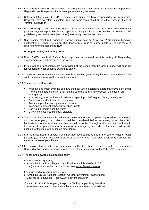- Y.6 For publicly lifeguarded pools abroad, the group leader's must seek assurances that appropriate lifeguard cover is in place prior to participants entering the water.
- Y.7 Unless suitably qualified, CYPS / School staff should not have responsibility for lifeguarding. However, they do retain a pastoral role for participants at all times either through direct or 'remote' supervision.
- Y.8 For swimming lessons, the group leader should ensure the swimming teacher in charge or other pool employees/responsible adults supervising the participants are qualified according to the guidelines given in the Hotel (and other ) swimming pools section below.
- Y.9 Staff leading structured swimming lessons should hold an ASA level 2 Swimming Teaching qualification or higher. The current DCC teacher:pupil ratio for learner pools is 1:24 and the ASA ratio for swimming lessons is 1:20.

#### **Hotel (and other) swimming pools**

- Y.10 Note: CYPS Health & Safety Team approval is required for this activity if lifeguarding arrangements are not provided at the venue.
- Y.11 If lifeguarding arrangements are not provided at the venue then the Group Leader will bear the full responsibility for ensuring swimming safety.
- Y.12 The Group Leader must ensure that there is a qualified (see below) lifeguard in attendance. This could be a member of staff, or a senior student.
- Y.13 The role of the lifeguard is to:
	- Keep a close watch over the pool and the pool users, exercising appropriate levels of control (Note: the lifeguard should remain on the poolside at all times except in the case of an emergency)
	- If necessary, brief pool users in advance regarding 'rules' (e.g. no diving, running, etc.)
	- Communicate effectively with pool users
	- Anticipate problems and prevent accidents
	- Intervene to prevent behaviour which is unsafe
	- Carry out a rescue from the water
	- Give immediate first aid to any casualty
- Y.14 The above must be accomplished in the context of the normal operating procedures for the pool and the emergency plan, which should be considered before swimming takes place. Full familiarisation of the systems described should be walked through at the pool, and staff should be aware of the procedures in the event of an emergency, and who at the venue will provide back up for the lifeguard during an emergency.
- Y.15 Staff will also need to ascertain whether they have exclusive use of the pool or whether other persons (e.g. guests) are able to swim at the same time. Other pool users may increase the supervision role of your lifeguard.
- Y.16 If a senior student holds an appropriate qualification then their role should be emergency lifeguard action, and supervision should remain the responsibility of the School/ Services staff.
- Y.17 The following awards/qualifications apply:

#### For free swimming activity

a) A valid National Pool Lifeguard Qualification administered by RLSS UK (or equivalent in the country visited) see www.lifesavers.org.uk

For structured or programmed activity

- b) A valid RLSS UK National Rescue Award for Swimming Teachers and Coaches (or equivalent) - see www.lifesavers.org.uk **or**
- c) A valid RLSS UK Emergency Response (Activity Supervisor) Award **or**
- d) A written statement of competence by an appropriate technical adviser.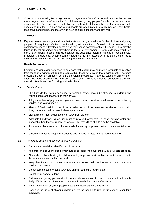# **Z Farm Visits**

Z.1 Visits to private working farms, agricultural college farms, 'model' farms and rural studies centres are a regular feature of education for children and young people from both rural and urban environments. Such visits are usually highly beneficial to children in helping them to appreciate aspects of rural life. Children and young people are often invited to touch livestock, help bottlefeed calves and lambs, and taste things such as animal feedstuff and raw milk.

#### **The Risks**

Z.2 Experience over recent years shows that visits can carry a small risk for the children and young people of acquiring infection, particularly gastroenteritis. Several micro-organisms are commonly present in livestock animals and may cause gastroenteritis in humans. They may be found in faecal droppings and elsewhere in the farm environment. Farm visits may result in a risk of transmitting infection directly because the substance eaten is infected or contaminated. In addition, fingers may become contaminated with animal faeces which is then transferred to their mouths when eating or simply sucking their fingers or thumbs.

## **Health Precautions**

Z.3 Farmers and visit organisers need to be aware that visitors may be more susceptible to infection from the farm environment and its products than those who live in that environment. Therefore prevention depends primarily on simple hygiene measures. Parents, teachers and children should be made aware of these measures and they should be re-emphasised before and during the visit. To this end the following advice is given:

## Z.4 *For the Farmer:*

- The hazards that farms can pose to personal safety should be stressed to children and young people and teachers on their arrival.
- A high standard of physical and general cleanliness is required in all areas to be visited by children and young people.
- Plenty of fresh bedding should be provided for stock to minimise the risk of contact with dung. Areas should be hosed where appropriate.
- Sick animals –must be isolated well away from visitors.
- Adequate hand washing facilities must be provided for visitors, i.e. soap, running water and disposable hand towels (not roller towels). Toilet facilities should also be available.
- A separate clean area must be set aside for eating purposes if refreshments are taken on site.
- Children and young people must not be encouraged to taste animal feed or raw milk.

#### Z.5 *For Group Leaders/Teachers/Parents/Volunteers:*

- Carry out a pre-visit to identify specific hazards.
- Ask children and young people with cuts or abrasions to cover them with a suitable dressing.
- There should be a briefing for children and young people at the farm at which the points in these guidelines should be covered.
- Keep their fingers out of their mouths and do not eat their sandwiches etc, until they have washed their hands.
- Do not sample, taste or take away any animal feed stuff, raw milk etc.
- Do not drink from farm taps.
- Children and young people should be closely supervised if direct contact with animals is likely. If this happens they should be made to wash their hands afterwards.
- Never let children or young people place their faces against the animals.
- Consider the risks of allowing children or young people to ride on tractors or other farm machines.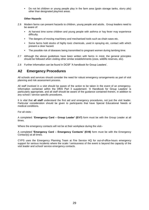Do not let children or young people play in the farm area (grain storage tanks, slurry pits) other than designated play/rest areas.

## **Other Hazards**

- Z.6 Modern farms can present hazards to children, young people and adults. Group leaders need to be aware of:
	- At harvest time some children and young people with asthma or hay fever may experience difficulty.
	- The dangers of moving machinery and mechanised tools such as chain saws etc.
	- Some farms hold stocks of highly toxic chemicals, used in spraying etc, contact with which present a clear hazard.
	- The possible risk of diseases being transmitted to pregnant women during lambing time.
- Z.7 Although the above guidelines have been written with farms in mind, the general principles should be followed when visiting other similar establishments (zoos, wildlife reserves, etc).
- Z.8 Further information can be found in DCSF 'A handbook for Group Leaders'.

# **A2 Emergency Procedures**

All schools and services should consider the need for robust emergency arrangements as part of visit planning and risk assessment process.

All staff involved in a visit should be aware of the action to be taken in the event of an emergency. Information contained within the DfES Part 3 supplement: 'A Handbook for Group Leaders' is particularly appropriate, and all staff should be aware of the guidance contained therein, in addition to any school / service specific procedures.

It is vital that **all staff** understand the first aid and emergency procedures, not just the visit leader. Particular consideration should be given to participants that have Special Educational Needs or medical conditions.

For all visits -

A completed: **'Emergency Card – Group Leader' (EV7)** form must be with the Group Leader at all times.

Where the emergency contacts will not be at their workplace during the visit-

A completed **'Emergency Card – Emergency Contacts' (EV8)** form must be with the Emergency Contact(s) at all times.

CYPS uses the Emergency Planning Team at Fire Service HQ for out-of-office-hours emergency support for serious incidents where the scale / seriousness of the event is beyond the capacity of the visit leader and school/ service emergency contacts.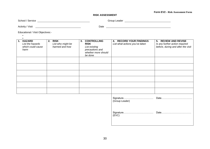## **Form EV2 - Risk Assessment Form**

#### **RISK ASSESSMENT**

| School /<br>' Service | Group L<br>∟eader |  |
|-----------------------|-------------------|--|
|-----------------------|-------------------|--|

Activity / Visit Date

• •

Educational / Visit Objectives:-

| 1. HAZARD<br>List the hazards<br>which could cause<br>harm | 2. RISK<br>List who might be<br>harmed and how | 3. CONTROLLING<br><b>RISK</b><br>List existing<br>precautions and<br>whether more should<br>be done | 4. RECORD YOUR FINDINGS<br>List what actions you've taken | 5. REVIEW AND REVISE<br>Is any further action required<br>before, during and after the visit |
|------------------------------------------------------------|------------------------------------------------|-----------------------------------------------------------------------------------------------------|-----------------------------------------------------------|----------------------------------------------------------------------------------------------|
|                                                            |                                                |                                                                                                     |                                                           |                                                                                              |
|                                                            |                                                |                                                                                                     |                                                           |                                                                                              |
|                                                            |                                                |                                                                                                     |                                                           |                                                                                              |
|                                                            |                                                |                                                                                                     |                                                           |                                                                                              |
|                                                            |                                                |                                                                                                     |                                                           |                                                                                              |
|                                                            |                                                |                                                                                                     |                                                           |                                                                                              |
|                                                            |                                                |                                                                                                     | (Group Leader)                                            |                                                                                              |
|                                                            |                                                |                                                                                                     | (EVC)                                                     |                                                                                              |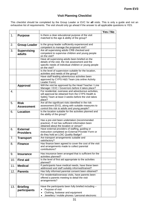## **Visit Planning Checklist**

This checklist should be completed by the Group Leader or EVC for **all** visits. This is only a guide and not an exhaustive list of requirements. The visit should only go ahead if the answer to all applicable questions is YES.

|     |                                     |                                                                                                                                                                                | Yes / No |
|-----|-------------------------------------|--------------------------------------------------------------------------------------------------------------------------------------------------------------------------------|----------|
| 1.  | <b>Purpose</b>                      | Is there a clear educational purpose of the visit<br>matched to the age & ability of the group?                                                                                |          |
| 2.  | <b>Group Leader</b>                 | Is the group leader sufficiently experienced and<br>competent to manage the proposed visit?                                                                                    |          |
| 3.  | <b>Supervising</b><br>adults        | Are all supervising adults CRB checked and<br>competent to supervise children and young people<br>on the visit?                                                                |          |
|     |                                     | Have all supervising adults been briefed on the<br>details of the visit, the risk assessment and the<br>specific needs of individual children or young people<br>on the visit? |          |
|     |                                     | Is the level of supervision suitable for the location,<br>activities and needs of the group?                                                                                   |          |
|     |                                     | Have staff leading adventurous activities been<br>approved by CYPS H&S Team (via online Activity<br>Leader Form)                                                               |          |
|     | <b>Approval</b>                     | Will the visit be approved by the Head Teacher / Line<br>Manager / EVC / Governors before it takes place?                                                                      |          |
| 4.  |                                     | For residential, overseas and adventurous activities,<br>will approval be obtained from the CYPS Health &<br>Safety Team at least 3 weeks before the visit takes<br>place?     |          |
| 5.  | <b>Risk</b><br><b>Assessment</b>    | Are all the significant risks identified in the risk<br>assessment (EV2), along with suitable measures to<br>control this risk to adults and young people?                     |          |
| 6.  | <b>Location</b>                     | Is the location suitable for the activities planned and<br>the ability of the group?                                                                                           |          |
|     |                                     | Has a pre-visit been undertaken (recommended<br>practice). If not has sufficient information been<br>obtained about the location or venue?                                     |          |
| 6.  | <b>External</b><br><b>Providers</b> | Have external providers of staffing, guiding or<br>instruction completed an External Provider Form or<br>do they hold an LOtC Quality Badge?                                   |          |
| 7.  | <b>Transport</b>                    | Are transport arrangements suitable and<br>satisfactory?                                                                                                                       |          |
| 8.  | <b>Finance</b>                      | Has finance been agreed to cover the cost of the visit<br>and arrangements made to collect parental<br>contributions?                                                          |          |
| 9.  | <b>Insurance</b>                    | Has insurance been arranged that is sufficient for the<br>activities planned?                                                                                                  |          |
| 10. | <b>First aid</b>                    | Is the level of first aid appropriate to the activities<br>planned?                                                                                                            |          |
| 11. | <b>Medical</b>                      | If participants have medical needs, have these been<br>addressed and staff suitably informed/trained?                                                                          |          |
| 12. | <b>Parents</b>                      | Has fully informed parental consent been obtained?                                                                                                                             |          |
|     |                                     | For residential/overseas visits, have parents been<br>offered a parents meeting to detail the visit<br>arrangements?                                                           |          |
| 13. | <b>Briefing</b><br>participants     | Have the participants been fully briefed including -<br>Purpose of visit<br>$\bullet$<br>Clothing, footwear and equipment<br>Jewellery / mobile phones / personal electronic   |          |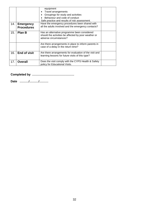|     |                                       | equipment<br>Travel arrangements<br>Groupings for study and activities<br>Behaviour and code of conduct<br>Safe practice and results of risk assessment. |  |
|-----|---------------------------------------|----------------------------------------------------------------------------------------------------------------------------------------------------------|--|
| 14. | <b>Emergency</b><br><b>Procedures</b> | Have the emergency procedures been shared with<br>all the adults involved and the emergency contacts?                                                    |  |
| 15. | <b>Plan B</b>                         | Has an alternative programme been considered<br>should the activities be affected by poor weather or<br>adverse circumstances?                           |  |
|     |                                       | Are there arrangements in place to inform parents in<br>case of a delay in the return time?                                                              |  |
| 16. | <b>End of visit</b>                   | Are there arrangements for evaluation of the visit and<br>learning lessons for future visits of this type?                                               |  |
| 17. | <b>Overall</b>                        | Does the visit comply with the CYPS Health & Safety<br>policy for Educational Visits.                                                                    |  |

**Completed by ……………………………………**

**Date ………/………/………**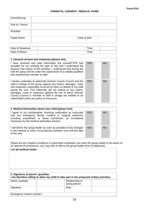## **PARENTAL CONSENT / MEDICAL FORM**

| School/Group       |               |
|--------------------|---------------|
| Visit to / Venue   |               |
| Activities         |               |
| <b>Pupils Name</b> | Date of birth |

| Date of Departure | ime |  |
|-------------------|-----|--|
| Date of Return    | ime |  |

| 1. General consent and indemnity (please tick)                                                                                                                                                                                                                                                                                                                                                                                                       |            |           |  |
|------------------------------------------------------------------------------------------------------------------------------------------------------------------------------------------------------------------------------------------------------------------------------------------------------------------------------------------------------------------------------------------------------------------------------------------------------|------------|-----------|--|
| I have received and read information the school/CYPS has<br>provided for me outlining the type of visit and I understand the<br>purpose and nature of the activities. I understand that during the<br>visit the group will be under the supervision of a suitably qualified<br>and experienced member of staff.                                                                                                                                      | <b>YES</b> | <b>NO</b> |  |
| I hereby undertake to indemnify Durham County Council and the<br>staff in charge of the group against any claims, damages, costs<br>and expenses reasonably incurred by them on behalf of my child<br>during the visit. This indemnity will not extend to any claims,<br>damages, costs or expenses against the risk of which Durham<br>County Council or member of staff in charge are entitled to be<br>indemnified under any policy of insurance. | <b>YES</b> | <b>NO</b> |  |

| 2. Medical Information about your child (please tick)                                                                                                                                                                                   |            |           |  |
|-----------------------------------------------------------------------------------------------------------------------------------------------------------------------------------------------------------------------------------------|------------|-----------|--|
| I agree to my son/daughter receiving medication as instructed<br>and any emergency dental, medical or surgical treatment,<br>including anaesthetic or blood transfusion, as considered<br>necessary by the medical authorities present. | <b>YES</b> | <b>NO</b> |  |
| I will inform the group leader as soon as possible of any changes<br>in the medical or other circumstances between now and the date<br>of the visit.                                                                                    | <b>YES</b> | <b>NO</b> |  |

Please list any medical conditions or prescribed medication you want the group leader to be aware of. (In special circumstances, you may wish to talk to the group leader prior to departure).

| 3. Signature of parent / guardian. | I am therefore willing to allow my child to take part in the proposed visit(s) activities. |
|------------------------------------|--------------------------------------------------------------------------------------------|
| Name (capitals)                    | Relationship to<br>young person                                                            |
| Signature                          | Date                                                                                       |

Emergency contact number –

**List all medical needs -**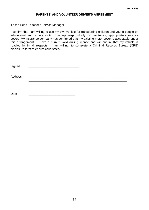## **PARENTS' AND VOLUNTEER DRIVER'S AGREEMENT**

To the Head Teacher / Service Manager

I confirm that I am willing to use my own vehicle for transporting children and young people on educational and off site visits. I accept responsibility for maintaining appropriate insurance cover. My insurance company has confirmed that my existing motor cover is acceptable under this arrangement. I have a current valid driving licence and will ensure that my vehicle is roadworthy in all respects. I am willing, to complete a Criminal Records Bureau (CRB) disclosure form to ensure child safety.

| Signed   |  |  |
|----------|--|--|
| Address: |  |  |
| Date     |  |  |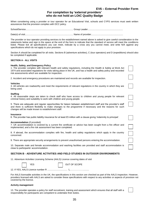## **EV6 – External Provider Form**

## **For completion by 'external providers' who do not hold an LOtC Quality Badge**

When considering using a provider or tour operator for an Educational Visit, schools and CYPS services must seek written assurances that the provision complies with DCC policy.

School/Service............................................................................ Group Leader........................................................

Date(s) of visit............................................................................. Name of provider...................................................

The provider or tour operator providing services to the establishment named above is asked to give careful consideration to the statements below and sign in the space at the end of the form to indicate that the standard of service will meet the conditions listed. Please tick all specifications you can meet, indicate by a cross any you cannot meet, and write N/A against any specifications which do not apply to your provision.

Section A should be completed for all visits. Sections B (adventure activities), C (tour operators) and D (expeditions) should also be completed if applicable.

#### **SECTION A - ALL VISITS**

#### **Health, Safety, and Emergency Policy**

1. The provider complies with relevant health and safety regulations, including the Health & Safety at Work Act 1974 and associated regulations for visits taking place in the UK, and has a health and safety policy and recorded risk assessments which are available for inspection.

2. Accident and emergency procedures are maintained and records are available for inspection.

#### **Vehicles**

3. All vehicles are roadworthy and meet the requirements of relevant regulations in the country in which they are being used.

#### **Staffing**

4. All reasonable steps are taken to check staff who have access to children and young people for relevant criminal history and suitability to work with children and young people.

5. There are adequate and regular opportunities for liaison between establishment staff and the provider's staff and there is sufficient flexibility to make changes to the programme if necessary and the reasons for such changes will be made known to establishment staff.

#### **Insurance**

6. The provider has public liability insurance for at least £5 million with a clause giving 'indemnity to principal'.

#### **Accommodation** (if provided)

7. UK accommodation is covered by a current fire certificate or advice has been sought from a fire officer and implemented, and a fire risk assessment has been completed.

8. If abroad, the accommodation complies with fire, health and safety regulations which apply in the country concerned.

9. There are appropriate security arrangements to prevent unauthorised persons entering the accommodation.

10. Separate male and female accommodation and washing facilities are provided and staff accommodation is close to participants' accommodation.

#### **SECTION B - ADVENTURE ACTIVITIES AND FIELD STUDIES IN OUTDOOR ENVIRONMENTS**

11. Adventure Activities Licensing Scheme (AALS) Licence covering dates of visit

|  | <b>OUT OF SCOPE</b> |
|--|---------------------|
|  |                     |

12. If YES, AALS Licence number R ................................ L……………….........

For AALS licensable activities in the UK, the specifications in this section are checked as part of the AALS inspection. However, providers licensed with AALS are asked to consider these specifications with respect to any activities or aspects of provision not covered by the licence.

#### **Activity management**

13. The provider operates a policy for staff recruitment, training and assessment which ensures that all staff with a responsibility for participants are competent to undertake their duties.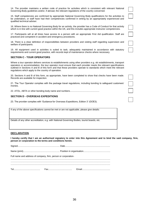|  |  |  |  |  |  | 14. The provider maintains a written code of practice for activities which is consistent with relevant National |  |  |
|--|--|--|--|--|--|-----------------------------------------------------------------------------------------------------------------|--|--|
|  |  |  |  |  |  | Governing Body guidelines and/or, if abroad, the relevant regulations of the country concerned.                 |  |  |

15. Staff competencies are confirmed by appropriate National Governing Body qualifications for the activities to be undertaken, or staff have had their competencies confirmed in writing by an appropriately experienced and qualified technical adviser.

16. Where there is no National Governing Body for an activity, the provider has a Code of Conduct for that activity which is in line with current good practice within the UK, and this includes appropriate instructor competencies.

17. Participants will at all times have access to a person with an appropriate First Aid qualification. Staff are practiced and competent in accident and emergency procedures.

18. There is a clear definition of responsibilities between providers and visiting staff regarding supervision and welfare of participants.

19. All equipment used in activities is suited to task, adequately maintained in accordance with statutory requirements and current good practice, with records kept of maintenance checks where necessary.

## **SECTION C - TOUR OPERATORS**

Where a tour operator delivers services to establishments using other providers e.g. ski establishments, transport operators or accommodation, the tour operator must ensure that each provider meets the relevant specifications outlined in Sections A and B of this form and that these providers operate to standards which meet the relevant regulations which apply to the country of operation.

20. Sections A and B of this form, as appropriate, have been completed to show that checks have been made. Records are available for inspection.

21. The Tour Operator complies with the package travel regulations, including bonding to safeguard customers' monies.

22. ATOL, ABTA or other bonding body name and numbers...............................................

## **SECTION D - OVERSEAS EXPEDITIONS**

23. The provider complies with 'Guidance for Overseas Expeditions, Edition 3' (GOE3).

If any of the above specifications cannot be met or are not applicable, please give details:

Details of any other accreditation, e.g. with National Governing Bodies, tourist boards, etc.

#### **DECLARATION**

**I hereby certify that I am an authorised signatory to enter into this Agreement and to bind the said company, firm, person or corporation to the terms and conditions herein.**

| Full name and address of company, firm, person or corporation- |  |
|----------------------------------------------------------------|--|
|                                                                |  |
|                                                                |  |
|                                                                |  |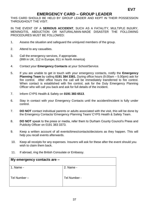# **EMERGENCY CARD – GROUP LEADER**

THIS CARD SHOULD BE HELD BY GROUP LEADER AND KEPT IN THEIR POSSESSION THROUGHOUT THE VISIT.

IN THE EVENT OF A **SERIOUS ACCIDENT**, SUCH AS A FATALITY, MULTIPLE INJURY, MENINGITIS, ABDUCTION OR NATURAL/MAN-MADE DISASTER THE FOLLOWING PROCEDURES MUST BE FOLLOWED:

- 1. Assess the situation and safeguard the uninjured members of the group.
- 2. Attend to any casualties.
- 3. Call the emergency services, if appropriate. (999 in UK, 112 in Europe, 911 in North America)
- 4. Contact your **Emergency Contacts** at your School/Service.
- 5. If you are unable to get in touch with your emergency contacts, notify the **Emergency Planning Team** by calling **0191 384 3381.** During office hours (9.00am – 5.00pm) ask for fire control. After office hours the call will be immediately transferred to fire control. When contact is established with fire control, ask for the Duty Emergency Planning Officer who will call you back and ask for full details of the incident.
- 7. Inform CYPS Health & Safety on **0191 383 6513**.
- 6. Stay in contact with your Emergency Contacts until the accident/incident is fully under control.
- 7. **DO NOT** contact individual parents or adults associated with the visit, this will be done by the Emergency Contacts/ Emergency Planning Team/ CYPS Health & Safety Team.
- 8. **DO NOT** speak to the press or media, refer them to Durham County Council's Press and Publicity Officer on 0191 383 3373.
- 9. Keep a written account of all events/times/contacts/decisions as they happen. This will help you recall events afterwards.
- 10. Keep all receipts for any expenses. Insurers will ask for these after the event should you wish to claim them back.
- 11. If abroad, ring the British Consulate or Embassy.

| My emergency contacts are $-$ |              |
|-------------------------------|--------------|
| 1. Name -                     | 2. Name -    |
| Tel Number-                   | Tel Number - |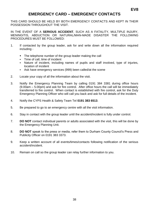# **EMERGENCY CARD – EMERGENCY CONTACTS**

THIS CARD SHOULD BE HELD BY BOTH EMERGENCY CONTACTS AND KEPT IN THEIR POSSESSION THROUGHOUT THE VISIT.

IN THE EVENT OF A **SERIOUS ACCIDENT**, SUCH AS A FATALITY, MULTIPLE INJURY, MENINGITIS, ABDUCTION OR NATURAL/MAN-MADE DISASTER THE FOLLOWING PROCEDURES MUST BE FOLLOWED:

- 1. If contacted by the group leader, ask for and write down all the information required including -
	- The telephone number of the group leader making the call
	- Time of call, time of incident
	- Nature of incident, including names of pupils and staff involved, type of injuries, location of incident
	- Ask have emergency services (999) been called/at the scene
- 2. Locate your copy of all the information about the visit.
- 3. Notify the Emergency Planning Team by calling 0191 384 3381 during office hours (9.00am – 5.00pm) and ask for fire control. After office hours the call will be immediately transferred to fire control. When contact is established with fire control, ask for the Duty Emergency Planning Officer who will call you back and ask for full details of the incident.
- 4. Notify the CYPS Health & Safety Team Tel **0191 383 6513**.
- 5. Be prepared to go to an emergency centre with all the visit information.
- 6. Stay in contact with the group leader until the accident/incident is fully under control.
- 7. **DO NOT** contact individual parents or adults associated with the visit, this will be done by the Emergency Planning Unit.
- 8. **DO NOT** speak to the press or media, refer them to Durham County Council's Press and Publicity Officer on 0191 383 3373.
- 9. Keep a written account of all events/times/contacts following notification of the serious accident/incident.
- 10. Remain on call so the group leader can relay further information to you.